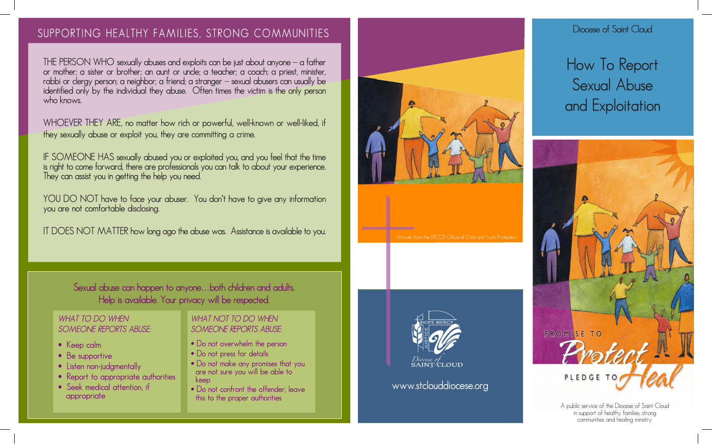# **SUPPORTING HEALTHY FAMILIES, STRONG COMMUNITIES**

**THE PERSON WHO sexually abuses and exploits can be just about anyone – a father or mother; a sister or brother; an aunt or uncle; a teacher; a coach; a priest, minister, rabbi or clergy person; a neighbor; a friend; a stranger – sexual abusers can usually be identified only by the individual they abuse. Often times the victim is the only person who knows.**

**WHOEVER THEY ARE, no matter how rich or powerful, well-known or well-liked, if they sexually abuse or exploit you, they are committing a crime.**

**IF SOMEONE HAS sexually abused you or exploited you, and you feel that the time is right to come forward, there are professionals you can talk to about your experience. They can assist you in getting the help you need.**

**YOU DO NOT have to face your abuser. You don't have to give any information you are not comfortable disclosing.** 

**IT DOES NOT MATTER how long ago the abuse was. Assistance is available to you.**

**Sexual abuse can happen to anyone…both children and adults. Help is available. Your privacy will be respected.**

#### *WHAT TO DO WHEN SOMEONE REPORTS ABUSE:*

- **Keep calm**
- **Be supportive**
- **Listen non-judgmentally**
- **Report to appropriate authorities**
- **Seek medical attention, if appropriate**

#### *WHAT NOT TO DO WHEN SOMEONE REPORTS ABUSE:*

- **• Do not overwhelm the person**
- **• Do not press for details**
- **• Do not make any promises that you are not sure you will be able to keep**
- **• Do not confront the offender; leave this to the proper authorities**







**www.stclouddiocese.org**

## **Diocese of Saint Cloud**

**How To Report Sexual Abuse and Exploitation**



A public service of the Diocese of Saint Cloud in support of healthy families, strong communities and healing ministry.